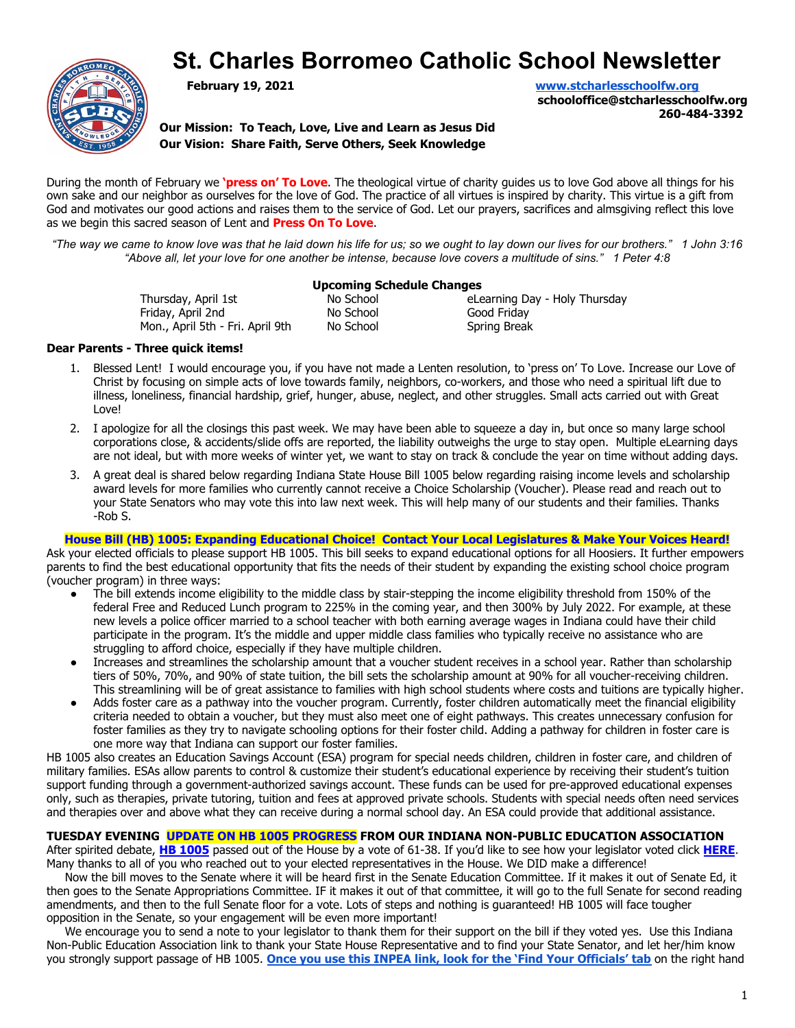# **St. Charles Borromeo Catholic School Newsletter**



**February 19, 2021 [www.stcharlesschoolfw.org](http://www.stcharlesschoolfw.org) schooloffice@stcharlesschoolfw.org**

**260-484-3392**

**Our Mission: To Teach, Love, Live and Learn as Jesus Did Our Vision: Share Faith, Serve Others, Seek Knowledge**

During the month of February we **'press on' To Love**. The theological virtue of charity guides us to love God above all things for his own sake and our neighbor as ourselves for the love of God. The practice of all virtues is inspired by charity. This virtue is a gift from God and motivates our good actions and raises them to the service of God. Let our prayers, sacrifices and almsgiving reflect this love as we begin this sacred season of Lent and **Press On To Love**.

*"The way we came to know love was that he laid down his life for us; so we ought to lay down our lives for our brothers." 1 John 3:16 "Above all, let your love for one another be intense, because love covers a multitude of sins." 1 Peter 4:8*

#### **Upcoming Schedule Changes**

Thursday, April 1st **No School** eLearning Day - Holy Thursday Friday, April 2nd **No School** Good Friday Mon., April 5th - Fri. April 9th No School Spring Break

#### **Dear Parents - Three quick items!**

- 1. Blessed Lent! I would encourage you, if you have not made a Lenten resolution, to 'press on' To Love. Increase our Love of Christ by focusing on simple acts of love towards family, neighbors, co-workers, and those who need a spiritual lift due to illness, loneliness, financial hardship, grief, hunger, abuse, neglect, and other struggles. Small acts carried out with Great Love!
- 2. I apologize for all the closings this past week. We may have been able to squeeze a day in, but once so many large school corporations close, & accidents/slide offs are reported, the liability outweighs the urge to stay open. Multiple eLearning days are not ideal, but with more weeks of winter yet, we want to stay on track & conclude the year on time without adding days.
- 3. A great deal is shared below regarding Indiana State House Bill 1005 below regarding raising income levels and scholarship award levels for more families who currently cannot receive a Choice Scholarship (Voucher). Please read and reach out to your State Senators who may vote this into law next week. This will help many of our students and their families. Thanks -Rob S.

**House Bill (HB) 1005: Expanding Educational Choice! Contact Your Local Legislatures & Make Your Voices Heard!** Ask your elected officials to please support HB 1005. This bill seeks to expand educational options for all Hoosiers. It further empowers parents to find the best educational opportunity that fits the needs of their student by expanding the existing school choice program (voucher program) in three ways:

- The bill extends income eligibility to the middle class by stair-stepping the income eligibility threshold from 150% of the federal Free and Reduced Lunch program to 225% in the coming year, and then 300% by July 2022. For example, at these new levels a police officer married to a school teacher with both earning average wages in Indiana could have their child participate in the program. It's the middle and upper middle class families who typically receive no assistance who are struggling to afford choice, especially if they have multiple children.
- Increases and streamlines the scholarship amount that a voucher student receives in a school year. Rather than scholarship tiers of 50%, 70%, and 90% of state tuition, the bill sets the scholarship amount at 90% for all voucher-receiving children. This streamlining will be of great assistance to families with high school students where costs and tuitions are typically higher.
- Adds foster care as a pathway into the voucher program. Currently, foster children automatically meet the financial eligibility criteria needed to obtain a voucher, but they must also meet one of eight pathways. This creates unnecessary confusion for foster families as they try to navigate schooling options for their foster child. Adding a pathway for children in foster care is one more way that Indiana can support our foster families.

HB 1005 also creates an Education Savings Account (ESA) program for special needs children, children in foster care, and children of military families. ESAs allow parents to control & customize their student's educational experience by receiving their student's tuition support funding through a government-authorized savings account. These funds can be used for pre-approved educational expenses only, such as therapies, private tutoring, tuition and fees at approved private schools. Students with special needs often need services and therapies over and above what they can receive during a normal school day. An ESA could provide that additional assistance.

**TUESDAY EVENING UPDATE ON HB 1005 PROGRESS FROM OUR INDIANA NON-PUBLIC EDUCATION ASSOCIATION**

After spirited debate, **[HB 1005](http://r20.rs6.net/tn.jsp?f=0012RDFCoS9bi2lU24kQTvLWzREyX-LINUd9WD5zU651aGoUrY-9dSuoV_yuv5rkyDWXgk-thOgUn_AQAzxLcXWQRBLx_3KOPYq7t8uyIrjeZK1DR5Sy4aQlUQ_I7ePID-0kmNsBachVE_76HrqX2q_nocg9CCefA7YwbAeRAfRNb5P1Il-SJsdkJyDv6JxWGnL&c=-cWE3Dg5c_cKYmuSB0YqFEEIjX8AMS40FxrouTVfOdp0vSX8c8nDhg==&ch=AWeYv4p3Mk4RsvGcieC_yKk_jKwQylxQz0gC9em7FxQxz3iWbdldXw==)** passed out of the House by a vote of 61-38. If you'd like to see how your legislator voted click **[HERE](http://r20.rs6.net/tn.jsp?f=0012RDFCoS9bi2lU24kQTvLWzREyX-LINUd9WD5zU651aGoUrY-9dSuoSFDo_9rZU-YpxPMUtD1eGUcZYZfSx8XBfjn4-89OXzyfku0DuP4RqJel9HsCUB4uUnZG_pFeS2TtamCO1FOAPHHPL6Lip-L9DiTwCDNFHxs&c=-cWE3Dg5c_cKYmuSB0YqFEEIjX8AMS40FxrouTVfOdp0vSX8c8nDhg==&ch=AWeYv4p3Mk4RsvGcieC_yKk_jKwQylxQz0gC9em7FxQxz3iWbdldXw==)**. Many thanks to all of you who reached out to your elected representatives in the House. We DID make a difference!

Now the bill moves to the Senate where it will be heard first in the Senate Education Committee. If it makes it out of Senate Ed, it then goes to the Senate Appropriations Committee. IF it makes it out of that committee, it will go to the full Senate for second reading amendments, and then to the full Senate floor for a vote. Lots of steps and nothing is guaranteed! HB 1005 will face tougher opposition in the Senate, so your engagement will be even more important!

We encourage you to send a note to your legislator to thank them for their support on the bill if they voted yes. Use this Indiana Non-Public Education Association link to thank your State House Representative and to find your State Senator, and let her/him know you strongly support passage of HB 1005. **Once you [use this INPEA link, look for the 'Find Your Officials'](http://inpea.org/for-advocates/legislative-action-center/) tab** on the right hand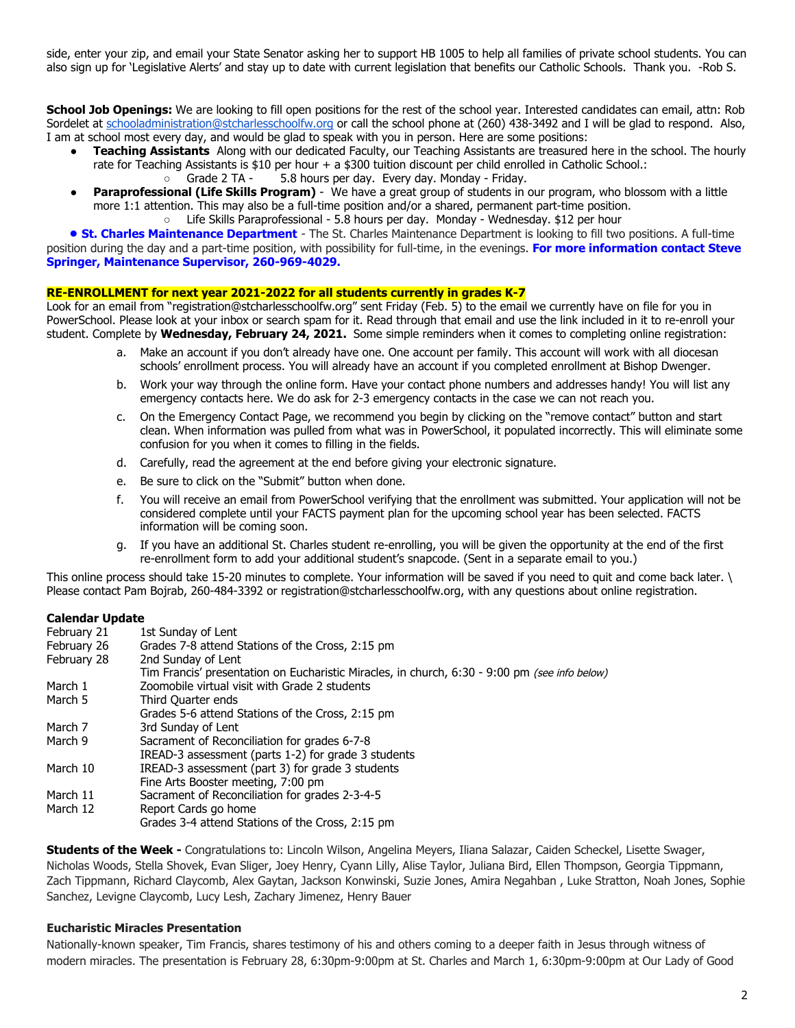side, enter your zip, and email your State Senator asking her to support HB 1005 to help all families of private school students. You can also sign up for 'Legislative Alerts' and stay up to date with current legislation that benefits our Catholic Schools. Thank you. -Rob S.

**School Job Openings:** We are looking to fill open positions for the rest of the school year. Interested candidates can email, attn: Rob Sordelet at [schooladministration@stcharlesschoolfw.org](mailto:schooladministration@stcharlesschoolfw.org) or call the school phone at (260) 438-3492 and I will be glad to respond. Also, I am at school most every day, and would be glad to speak with you in person. Here are some positions:

- **Teaching Assistants** Along with our dedicated Faculty, our Teaching Assistants are treasured here in the school. The hourly rate for Teaching Assistants is \$10 per hour + a \$300 tuition discount per child enrolled in Catholic School.:
	- Grade 2 TA 5.8 hours per day. Every day. Monday Friday.
- **Paraprofessional (Life Skills Program)** We have a great group of students in our program, who blossom with a little more 1:1 attention. This may also be a full-time position and/or a shared, permanent part-time position.
	- Life Skills Paraprofessional 5.8 hours per day. Monday Wednesday. \$12 per hour

**• St. Charles Maintenance Department** - The St. Charles Maintenance Department is looking to fill two positions. A full-time position during the day and a part-time position, with possibility for full-time, in the evenings. **For more information contact Steve Springer, Maintenance Supervisor, 260-969-4029.**

#### **RE-ENROLLMENT for next year 2021-2022 for all students currently in grades K-7**

Look for an email from "registration@stcharlesschoolfw.org" sent Friday (Feb. 5) to the email we currently have on file for you in PowerSchool. Please look at your inbox or search spam for it. Read through that email and use the link included in it to re-enroll your student. Complete by **Wednesday, February 24, 2021.** Some simple reminders when it comes to completing online registration:

- a. Make an account if you don't already have one. One account per family. This account will work with all diocesan schools' enrollment process. You will already have an account if you completed enrollment at Bishop Dwenger.
- b. Work your way through the online form. Have your contact phone numbers and addresses handy! You will list any emergency contacts here. We do ask for 2-3 emergency contacts in the case we can not reach you.
- c. On the Emergency Contact Page, we recommend you begin by clicking on the "remove contact" button and start clean. When information was pulled from what was in PowerSchool, it populated incorrectly. This will eliminate some confusion for you when it comes to filling in the fields.
- d. Carefully, read the agreement at the end before giving your electronic signature.
- e. Be sure to click on the "Submit" button when done.
- f. You will receive an email from PowerSchool verifying that the enrollment was submitted. Your application will not be considered complete until your FACTS payment plan for the upcoming school year has been selected. FACTS information will be coming soon.
- g. If you have an additional St. Charles student re-enrolling, you will be given the opportunity at the end of the first re-enrollment form to add your additional student's snapcode. (Sent in a separate email to you.)

This online process should take 15-20 minutes to complete. Your information will be saved if you need to quit and come back later. \ Please contact Pam Bojrab, 260-484-3392 or registration@stcharlesschoolfw.org, with any questions about online registration.

#### **Calendar Update**

| February 21 | 1st Sunday of Lent                                                                            |  |  |  |  |
|-------------|-----------------------------------------------------------------------------------------------|--|--|--|--|
| February 26 | Grades 7-8 attend Stations of the Cross, 2:15 pm                                              |  |  |  |  |
| February 28 | 2nd Sunday of Lent                                                                            |  |  |  |  |
|             | Tim Francis' presentation on Eucharistic Miracles, in church, 6:30 - 9:00 pm (see info below) |  |  |  |  |
| March 1     | Zoomobile virtual visit with Grade 2 students                                                 |  |  |  |  |
| March 5     | Third Quarter ends                                                                            |  |  |  |  |
|             | Grades 5-6 attend Stations of the Cross, 2:15 pm                                              |  |  |  |  |
| March 7     | 3rd Sunday of Lent                                                                            |  |  |  |  |
| March 9     | Sacrament of Reconciliation for grades 6-7-8                                                  |  |  |  |  |
|             | IREAD-3 assessment (parts 1-2) for grade 3 students                                           |  |  |  |  |
| March 10    | IREAD-3 assessment (part 3) for grade 3 students                                              |  |  |  |  |
|             | Fine Arts Booster meeting, 7:00 pm                                                            |  |  |  |  |
| March 11    | Sacrament of Reconciliation for grades 2-3-4-5                                                |  |  |  |  |
| March 12    | Report Cards go home                                                                          |  |  |  |  |
|             | Grades 3-4 attend Stations of the Cross, 2:15 pm                                              |  |  |  |  |
|             |                                                                                               |  |  |  |  |

**Students of the Week -** Congratulations to: Lincoln Wilson, Angelina Meyers, Iliana Salazar, Caiden Scheckel, Lisette Swager, Nicholas Woods, Stella Shovek, Evan Sliger, Joey Henry, Cyann Lilly, Alise Taylor, Juliana Bird, Ellen Thompson, Georgia Tippmann, Zach Tippmann, Richard Claycomb, Alex Gaytan, Jackson Konwinski, Suzie Jones, Amira Negahban , Luke Stratton, Noah Jones, Sophie Sanchez, Levigne Claycomb, Lucy Lesh, Zachary Jimenez, Henry Bauer

### **Eucharistic Miracles Presentation**

Nationally-known speaker, Tim Francis, shares testimony of his and others coming to a deeper faith in Jesus through witness of modern miracles. The presentation is February 28, 6:30pm-9:00pm at St. Charles and March 1, 6:30pm-9:00pm at Our Lady of Good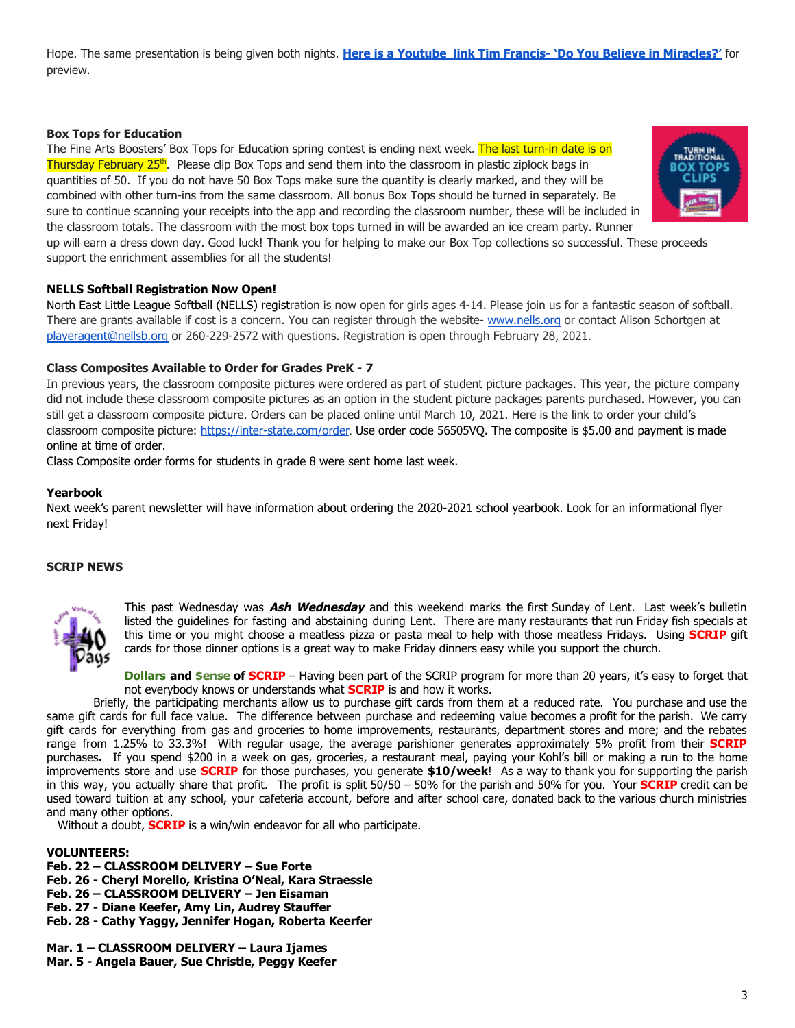Hope. The same presentation is being given both nights. **[Here is a Youtube link Tim Francis- 'Do You Believe in Miracles?'](https://www.youtube.com/watch?v=fged423uQUk&ab_channel=ProLifeCorner85)** for preview.

#### **Box Tops for Education**

The Fine Arts Boosters' Box Tops for Education spring contest is ending next week. The last turn-in date is on Thursday February 25th. Please clip Box Tops and send them into the classroom in plastic ziplock bags in quantities of 50. If you do not have 50 Box Tops make sure the quantity is clearly marked, and they will be combined with other turn-ins from the same classroom. All bonus Box Tops should be turned in separately. Be sure to continue scanning your receipts into the app and recording the classroom number, these will be included in the classroom totals. The classroom with the most box tops turned in will be awarded an ice cream party. Runner



up will earn a dress down day. Good luck! Thank you for helping to make our Box Top collections so successful. These proceeds support the enrichment assemblies for all the students!

### **NELLS Softball Registration Now Open!**

North East Little League Softball (NELLS) registration is now open for girls ages 4-14. Please join us for a fantastic season of softball. There are grants available if cost is a concern. You can register through the website- [www.nells.org](http://www.nells.org) or contact Alison Schortgen at [playeragent@nellsb.org](mailto:playeragent@nellsb.org) or 260-229-2572 with questions. Registration is open through February 28, 2021.

#### **Class Composites Available to Order for Grades PreK - 7**

In previous years, the classroom composite pictures were ordered as part of student picture packages. This year, the picture company did not include these classroom composite pictures as an option in the student picture packages parents purchased. However, you can still get a classroom composite picture. Orders can be placed online until March 10, 2021. Here is the link to order your child's classroom composite picture: <https://inter-state.com/order>. Use order code 56505VQ. The composite is \$5.00 and payment is made online at time of order.

Class Composite order forms for students in grade 8 were sent home last week.

#### **Yearbook**

Next week's parent newsletter will have information about ordering the 2020-2021 school yearbook. Look for an informational flyer next Friday!

#### **SCRIP NEWS**



This past Wednesday was **Ash Wednesday** and this weekend marks the first Sunday of Lent. Last week's bulletin listed the guidelines for fasting and abstaining during Lent. There are many restaurants that run Friday fish specials at this time or you might choose a meatless pizza or pasta meal to help with those meatless Fridays. Using **SCRIP** gift cards for those dinner options is a great way to make Friday dinners easy while you support the church.

**Dollars and \$ense of <b>SCRIP** – Having been part of the SCRIP program for more than 20 years, it's easy to forget that not everybody knows or understands what **SCRIP** is and how it works.

Briefly, the participating merchants allow us to purchase gift cards from them at a reduced rate. You purchase and use the same gift cards for full face value. The difference between purchase and redeeming value becomes a profit for the parish. We carry gift cards for everything from gas and groceries to home improvements, restaurants, department stores and more; and the rebates range from 1.25% to 33.3%! With regular usage, the average parishioner generates approximately 5% profit from their **SCRIP** purchases**.** If you spend \$200 in a week on gas, groceries, a restaurant meal, paying your Kohl's bill or making a run to the home improvements store and use **SCRIP** for those purchases, you generate **\$10/week**! As a way to thank you for supporting the parish in this way, you actually share that profit. The profit is split 50/50 – 50% for the parish and 50% for you. Your **SCRIP** credit can be used toward tuition at any school, your cafeteria account, before and after school care, donated back to the various church ministries and many other options.

Without a doubt, **SCRIP** is a win/win endeavor for all who participate.

#### **VOLUNTEERS:**

- **Feb. 22 CLASSROOM DELIVERY Sue Forte**
- **Feb. 26 Cheryl Morello, Kristina O'Neal, Kara Straessle**
- **Feb. 26 CLASSROOM DELIVERY Jen Eisaman**
- **Feb. 27 Diane Keefer, Amy Lin, Audrey Stauffer**
- **Feb. 28 Cathy Yaggy, Jennifer Hogan, Roberta Keerfer**

#### **Mar. 1 – CLASSROOM DELIVERY – Laura Ijames Mar. 5 - Angela Bauer, Sue Christle, Peggy Keefer**